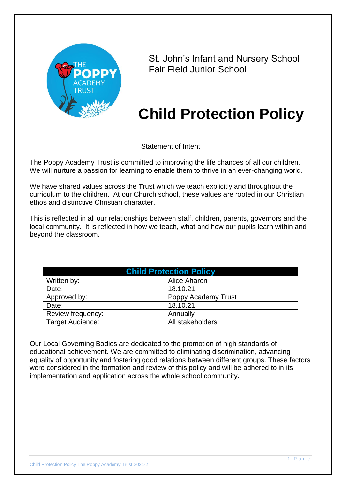

St. John's Infant and Nursery School Fair Field Junior School

# **Child Protection Policy**

Statement of Intent

The Poppy Academy Trust is committed to improving the life chances of all our children. We will nurture a passion for learning to enable them to thrive in an ever-changing world.

We have shared values across the Trust which we teach explicitly and throughout the curriculum to the children. At our Church school, these values are rooted in our Christian ethos and distinctive Christian character.

This is reflected in all our relationships between staff, children, parents, governors and the local community. It is reflected in how we teach, what and how our pupils learn within and beyond the classroom.

| <b>Child Protection Policy</b> |                     |  |
|--------------------------------|---------------------|--|
| Written by:                    | <b>Alice Aharon</b> |  |
| Date:                          | 18.10.21            |  |
| Approved by:                   | Poppy Academy Trust |  |
| Date:                          | 18.10.21            |  |
| Review frequency:              | Annually            |  |
| Target Audience:               | All stakeholders    |  |

Our Local Governing Bodies are dedicated to the promotion of high standards of educational achievement. We are committed to eliminating discrimination, advancing equality of opportunity and fostering good relations between different groups. These factors were considered in the formation and review of this policy and will be adhered to in its implementation and application across the whole school community**.**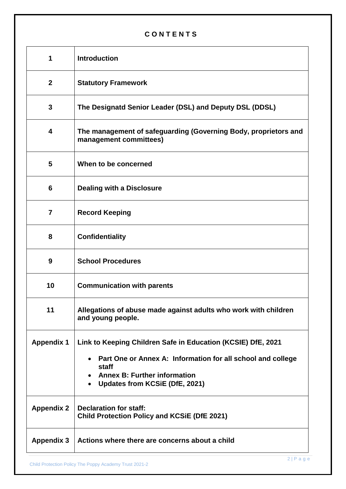# **C O N T E N T S**

| 1                 | <b>Introduction</b>                                                                                                                                                                                                                     |
|-------------------|-----------------------------------------------------------------------------------------------------------------------------------------------------------------------------------------------------------------------------------------|
| $\mathbf{2}$      | <b>Statutory Framework</b>                                                                                                                                                                                                              |
| 3                 | The Designatd Senior Leader (DSL) and Deputy DSL (DDSL)                                                                                                                                                                                 |
| 4                 | The management of safeguarding (Governing Body, proprietors and<br>management committees)                                                                                                                                               |
| 5                 | When to be concerned                                                                                                                                                                                                                    |
| 6                 | <b>Dealing with a Disclosure</b>                                                                                                                                                                                                        |
| $\overline{7}$    | <b>Record Keeping</b>                                                                                                                                                                                                                   |
| 8                 | <b>Confidentiality</b>                                                                                                                                                                                                                  |
| 9                 | <b>School Procedures</b>                                                                                                                                                                                                                |
| 10                | <b>Communication with parents</b>                                                                                                                                                                                                       |
| 11                | Allegations of abuse made against adults who work with children<br>and young people.                                                                                                                                                    |
| <b>Appendix 1</b> | Link to Keeping Children Safe in Education (KCSIE) DfE, 2021<br>Part One or Annex A: Information for all school and college<br>$\bullet$<br>staff<br><b>Annex B: Further information</b><br>Updates from KCSiE (DfE, 2021)<br>$\bullet$ |
| <b>Appendix 2</b> | <b>Declaration for staff:</b><br><b>Child Protection Policy and KCSIE (DfE 2021)</b>                                                                                                                                                    |
| <b>Appendix 3</b> | Actions where there are concerns about a child                                                                                                                                                                                          |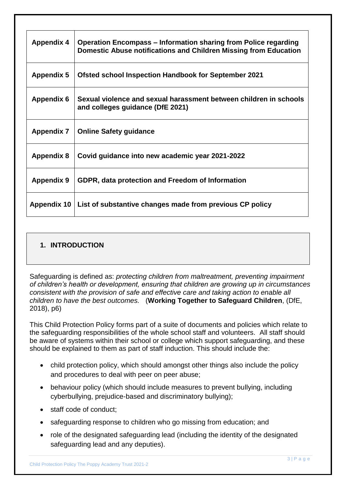| <b>Appendix 4</b> | <b>Operation Encompass – Information sharing from Police regarding</b><br>Domestic Abuse notifications and Children Missing from Education |
|-------------------|--------------------------------------------------------------------------------------------------------------------------------------------|
| <b>Appendix 5</b> | <b>Ofsted school Inspection Handbook for September 2021</b>                                                                                |
| <b>Appendix 6</b> | Sexual violence and sexual harassment between children in schools<br>and colleges guidance (DfE 2021)                                      |
| <b>Appendix 7</b> | <b>Online Safety guidance</b>                                                                                                              |
| <b>Appendix 8</b> | Covid guidance into new academic year 2021-2022                                                                                            |
| <b>Appendix 9</b> | GDPR, data protection and Freedom of Information                                                                                           |
| Appendix 10       | List of substantive changes made from previous CP policy                                                                                   |

# **1. INTRODUCTION**

Safeguarding is defined as: *protecting children from maltreatment, preventing impairment of children's health or development, ensuring that children are growing up in circumstances consistent with the provision of safe and effective care and taking action to enable all children to have the best outcomes.* (**Working Together to Safeguard Children**, (DfE, 2018), p6)

This Child Protection Policy forms part of a suite of documents and policies which relate to the safeguarding responsibilities of the whole school staff and volunteers. All staff should be aware of systems within their school or college which support safeguarding, and these should be explained to them as part of staff induction. This should include the:

- child protection policy, which should amongst other things also include the policy and procedures to deal with peer on peer abuse;
- behaviour policy (which should include measures to prevent bullying, including cyberbullying, prejudice-based and discriminatory bullying);
- staff code of conduct;
- safeguarding response to children who go missing from education; and
- role of the designated safeguarding lead (including the identity of the designated safeguarding lead and any deputies).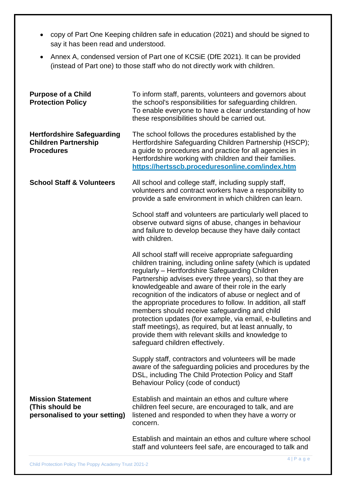- copy of Part One Keeping children safe in education (2021) and should be signed to say it has been read and understood.
- Annex A, condensed version of Part one of KCSiE (DfE 2021). It can be provided (instead of Part one) to those staff who do not directly work with children.

| <b>Purpose of a Child</b><br><b>Protection Policy</b>                                 | To inform staff, parents, volunteers and governors about<br>the school's responsibilities for safeguarding children.<br>To enable everyone to have a clear understanding of how<br>these responsibilities should be carried out.                                                                                                                                                                                                                                                                                                                                                                                                                                                            |
|---------------------------------------------------------------------------------------|---------------------------------------------------------------------------------------------------------------------------------------------------------------------------------------------------------------------------------------------------------------------------------------------------------------------------------------------------------------------------------------------------------------------------------------------------------------------------------------------------------------------------------------------------------------------------------------------------------------------------------------------------------------------------------------------|
| <b>Hertfordshire Safeguarding</b><br><b>Children Partnership</b><br><b>Procedures</b> | The school follows the procedures established by the<br>Hertfordshire Safeguarding Children Partnership (HSCP);<br>a guide to procedures and practice for all agencies in<br>Hertfordshire working with children and their families.<br>https://hertsscb.proceduresonline.com/index.htm                                                                                                                                                                                                                                                                                                                                                                                                     |
| <b>School Staff &amp; Volunteers</b>                                                  | All school and college staff, including supply staff,<br>volunteers and contract workers have a responsibility to<br>provide a safe environment in which children can learn.                                                                                                                                                                                                                                                                                                                                                                                                                                                                                                                |
|                                                                                       | School staff and volunteers are particularly well placed to<br>observe outward signs of abuse, changes in behaviour<br>and failure to develop because they have daily contact<br>with children.                                                                                                                                                                                                                                                                                                                                                                                                                                                                                             |
|                                                                                       | All school staff will receive appropriate safeguarding<br>children training, including online safety (which is updated<br>regularly - Hertfordshire Safeguarding Children<br>Partnership advises every three years), so that they are<br>knowledgeable and aware of their role in the early<br>recognition of the indicators of abuse or neglect and of<br>the appropriate procedures to follow. In addition, all staff<br>members should receive safeguarding and child<br>protection updates (for example, via email, e-bulletins and<br>staff meetings), as required, but at least annually, to<br>provide them with relevant skills and knowledge to<br>safeguard children effectively. |
|                                                                                       | Supply staff, contractors and volunteers will be made<br>aware of the safeguarding policies and procedures by the<br>DSL, including The Child Protection Policy and Staff<br>Behaviour Policy (code of conduct)                                                                                                                                                                                                                                                                                                                                                                                                                                                                             |
| <b>Mission Statement</b><br>(This should be<br>personalised to your setting)          | Establish and maintain an ethos and culture where<br>children feel secure, are encouraged to talk, and are<br>listened and responded to when they have a worry or<br>concern.                                                                                                                                                                                                                                                                                                                                                                                                                                                                                                               |
|                                                                                       | Establish and maintain an ethos and culture where school<br>staff and volunteers feel safe, are encouraged to talk and                                                                                                                                                                                                                                                                                                                                                                                                                                                                                                                                                                      |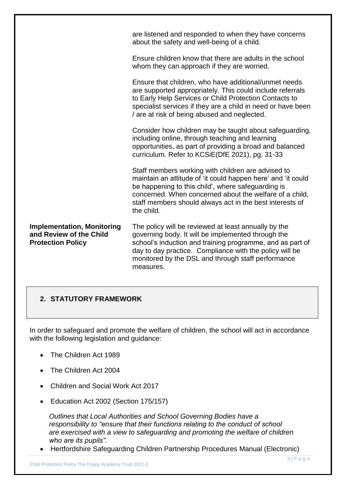|                                                                                          | are listened and responded to when they have concerns<br>about the safety and well-being of a child.                                                                                                                                                                                                          |
|------------------------------------------------------------------------------------------|---------------------------------------------------------------------------------------------------------------------------------------------------------------------------------------------------------------------------------------------------------------------------------------------------------------|
|                                                                                          | Ensure children know that there are adults in the school<br>whom they can approach if they are worried.                                                                                                                                                                                                       |
|                                                                                          | Ensure that children, who have additional/unmet needs<br>are supported appropriately. This could include referrals<br>to Early Help Services or Child Protection Contacts to<br>specialist services if they are a child in need or have been<br>/ are at risk of being abused and neglected.                  |
|                                                                                          | Consider how children may be taught about safeguarding,<br>including online, through teaching and learning<br>opportunities, as part of providing a broad and balanced<br>curriculum. Refer to KCSiE(DfE 2021), pg. 31-33                                                                                     |
|                                                                                          | Staff members working with children are advised to<br>maintain an attitude of 'it could happen here' and 'it could<br>be happening to this child', where safeguarding is<br>concerned. When concerned about the welfare of a child,<br>staff members should always act in the best interests of<br>the child. |
| <b>Implementation, Monitoring</b><br>and Review of the Child<br><b>Protection Policy</b> | The policy will be reviewed at least annually by the<br>governing body. It will be implemented through the<br>school's induction and training programme, and as part of<br>day to day practice. Compliance with the policy will be<br>monitored by the DSL and through staff performance<br>measures.         |

# **2. STATUTORY FRAMEWORK**

In order to safeguard and promote the welfare of children, the school will act in accordance with the following legislation and guidance:

- The Children Act 1989
- The Children Act 2004
- Children and Social Work Act 2017
- Education Act 2002 (Section 175/157)

 *Outlines that Local Authorities and School Governing Bodies have a responsibility to "ensure that their functions relating to the conduct of school are exercised with a view to safeguarding and promoting the welfare of children who are its pupils".* 

Hertfordshire Safeguarding Children Partnership Procedures Manual (Electronic)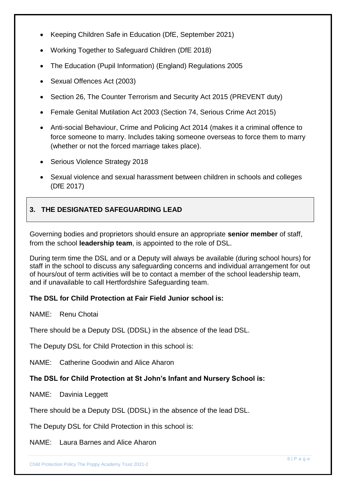- Keeping Children Safe in Education (DfE, September 2021)
- Working Together to Safeguard Children (DfE 2018)
- The Education (Pupil Information) (England) Regulations 2005
- Sexual Offences Act (2003)
- Section 26, The Counter Terrorism and Security Act 2015 (PREVENT duty)
- Female Genital Mutilation Act 2003 (Section 74, Serious Crime Act 2015)
- Anti-social Behaviour, Crime and Policing Act 2014 (makes it a criminal offence to force someone to marry. Includes taking someone overseas to force them to marry (whether or not the forced marriage takes place).
- Serious Violence Strategy 2018
- Sexual violence and sexual harassment between children in schools and colleges (DfE 2017)

# **3. THE DESIGNATED SAFEGUARDING LEAD**

Governing bodies and proprietors should ensure an appropriate **senior member** of staff, from the school **leadership team**, is appointed to the role of DSL.

During term time the DSL and or a Deputy will always be available (during school hours) for staff in the school to discuss any safeguarding concerns and individual arrangement for out of hours/out of term activities will be to contact a member of the school leadership team, and if unavailable to call Hertfordshire Safeguarding team.

# **The DSL for Child Protection at Fair Field Junior school is:**

NAME: Renu Chotai

There should be a Deputy DSL (DDSL) in the absence of the lead DSL.

The Deputy DSL for Child Protection in this school is:

NAME: Catherine Goodwin and Alice Aharon

# **The DSL for Child Protection at St John's Infant and Nursery School is:**

NAME: Davinia Leggett

There should be a Deputy DSL (DDSL) in the absence of the lead DSL.

The Deputy DSL for Child Protection in this school is:

NAME: Laura Barnes and Alice Aharon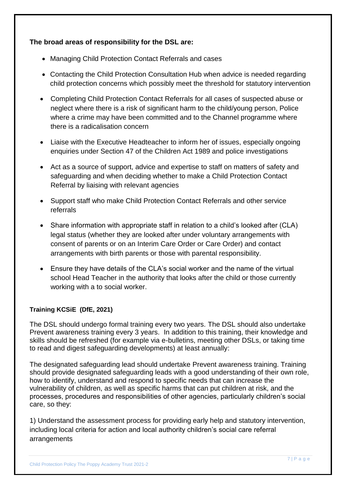# **The broad areas of responsibility for the DSL are:**

- Managing Child Protection Contact Referrals and cases
- Contacting the Child Protection Consultation Hub when advice is needed regarding child protection concerns which possibly meet the threshold for statutory intervention
- Completing Child Protection Contact Referrals for all cases of suspected abuse or neglect where there is a risk of significant harm to the child/young person, Police where a crime may have been committed and to the Channel programme where there is a radicalisation concern
- Liaise with the Executive Headteacher to inform her of issues, especially ongoing enquiries under Section 47 of the Children Act 1989 and police investigations
- Act as a source of support, advice and expertise to staff on matters of safety and safeguarding and when deciding whether to make a Child Protection Contact Referral by liaising with relevant agencies
- Support staff who make Child Protection Contact Referrals and other service referrals
- Share information with appropriate staff in relation to a child's looked after (CLA) legal status (whether they are looked after under voluntary arrangements with consent of parents or on an Interim Care Order or Care Order) and contact arrangements with birth parents or those with parental responsibility.
- Ensure they have details of the CLA's social worker and the name of the virtual school Head Teacher in the authority that looks after the child or those currently working with a to social worker.

# **Training KCSiE (DfE, 2021)**

The DSL should undergo formal training every two years. The DSL should also undertake Prevent awareness training every 3 years. In addition to this training, their knowledge and skills should be refreshed (for example via e-bulletins, meeting other DSLs, or taking time to read and digest safeguarding developments) at least annually:

The designated safeguarding lead should undertake Prevent awareness training. Training should provide designated safeguarding leads with a good understanding of their own role, how to identify, understand and respond to specific needs that can increase the vulnerability of children, as well as specific harms that can put children at risk, and the processes, procedures and responsibilities of other agencies, particularly children's social care, so they:

1) Understand the assessment process for providing early help and statutory intervention, including local criteria for action and local authority children's social care referral arrangements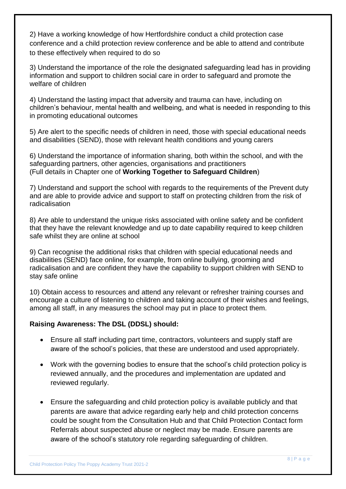2) Have a working knowledge of how Hertfordshire conduct a child protection case conference and a child protection review conference and be able to attend and contribute to these effectively when required to do so

3) Understand the importance of the role the designated safeguarding lead has in providing information and support to children social care in order to safeguard and promote the welfare of children

4) Understand the lasting impact that adversity and trauma can have, including on children's behaviour, mental health and wellbeing, and what is needed in responding to this in promoting educational outcomes

5) Are alert to the specific needs of children in need, those with special educational needs and disabilities (SEND), those with relevant health conditions and young carers

6) Understand the importance of information sharing, both within the school, and with the safeguarding partners, other agencies, organisations and practitioners (Full details in Chapter one of **Working Together to Safeguard Children**)

7) Understand and support the school with regards to the requirements of the Prevent duty and are able to provide advice and support to staff on protecting children from the risk of radicalisation

8) Are able to understand the unique risks associated with online safety and be confident that they have the relevant knowledge and up to date capability required to keep children safe whilst they are online at school

9) Can recognise the additional risks that children with special educational needs and disabilities (SEND) face online, for example, from online bullying, grooming and radicalisation and are confident they have the capability to support children with SEND to stay safe online

10) Obtain access to resources and attend any relevant or refresher training courses and encourage a culture of listening to children and taking account of their wishes and feelings, among all staff, in any measures the school may put in place to protect them.

# **Raising Awareness: The DSL (DDSL) should:**

- Ensure all staff including part time, contractors, volunteers and supply staff are aware of the school's policies, that these are understood and used appropriately.
- Work with the governing bodies to ensure that the school's child protection policy is reviewed annually, and the procedures and implementation are updated and reviewed regularly.
- Ensure the safeguarding and child protection policy is available publicly and that parents are aware that advice regarding early help and child protection concerns could be sought from the Consultation Hub and that Child Protection Contact form Referrals about suspected abuse or neglect may be made. Ensure parents are aware of the school's statutory role regarding safeguarding of children.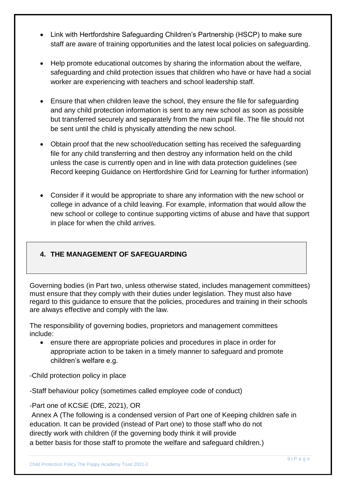- Link with Hertfordshire Safeguarding Children's Partnership (HSCP) to make sure staff are aware of training opportunities and the latest local policies on safeguarding.
- Help promote educational outcomes by sharing the information about the welfare, safeguarding and child protection issues that children who have or have had a social worker are experiencing with teachers and school leadership staff.
- Ensure that when children leave the school, they ensure the file for safeguarding and any child protection information is sent to any new school as soon as possible but transferred securely and separately from the main pupil file. The file should not be sent until the child is physically attending the new school.
- Obtain proof that the new school/education setting has received the safeguarding file for any child transferring and then destroy any information held on the child unless the case is currently open and in line with data protection guidelines (see Record keeping Guidance on Hertfordshire Grid for Learning for further information)
- Consider if it would be appropriate to share any information with the new school or college in advance of a child leaving. For example, information that would allow the new school or college to continue supporting victims of abuse and have that support in place for when the child arrives.

# **4. THE MANAGEMENT OF SAFEGUARDING**

Governing bodies (in Part two, unless otherwise stated, includes management committees) must ensure that they comply with their duties under legislation. They must also have regard to this guidance to ensure that the policies, procedures and training in their schools are always effective and comply with the law.

The responsibility of governing bodies, proprietors and management committees include:

 ensure there are appropriate policies and procedures in place in order for appropriate action to be taken in a timely manner to safeguard and promote children's welfare e.g.

-Child protection policy in place

-Staff behaviour policy (sometimes called employee code of conduct)

-Part one of KCSiE (DfE, 2021), OR

Annex A (The following is a condensed version of Part one of Keeping children safe in education. It can be provided (instead of Part one) to those staff who do not directly work with children (if the governing body think it will provide a better basis for those staff to promote the welfare and safeguard children.)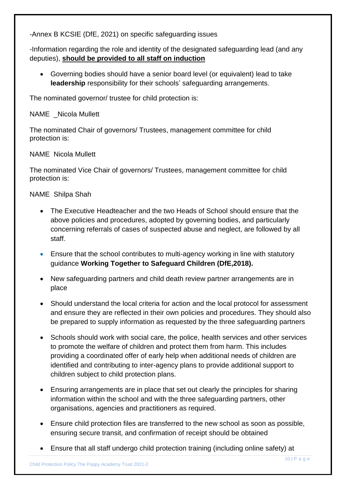-Annex B KCSIE (DfE, 2021) on specific safeguarding issues

-Information regarding the role and identity of the designated safeguarding lead (and any deputies), **should be provided to all staff on induction**

 Governing bodies should have a senior board level (or equivalent) lead to take **leadership** responsibility for their schools' safeguarding arrangements.

The nominated governor/ trustee for child protection is:

# NAME Nicola Mullett

The nominated Chair of governors/ Trustees, management committee for child protection is:

# NAME Nicola Mullett

The nominated Vice Chair of governors/ Trustees, management committee for child protection is:

# NAME Shilpa Shah

- The Executive Headteacher and the two Heads of School should ensure that the above policies and procedures, adopted by governing bodies, and particularly concerning referrals of cases of suspected abuse and neglect, are followed by all staff.
- Ensure that the school contributes to multi-agency working in line with statutory guidance **Working Together to Safeguard Children (DfE,2018).**
- New safeguarding partners and child death review partner arrangements are in place
- Should understand the local criteria for action and the local protocol for assessment and ensure they are reflected in their own policies and procedures. They should also be prepared to supply information as requested by the three safeguarding partners
- Schools should work with social care, the police, health services and other services to promote the welfare of children and protect them from harm. This includes providing a coordinated offer of early help when additional needs of children are identified and contributing to inter-agency plans to provide additional support to children subject to child protection plans.
- Ensuring arrangements are in place that set out clearly the principles for sharing information within the school and with the three safeguarding partners, other organisations, agencies and practitioners as required.
- Ensure child protection files are transferred to the new school as soon as possible, ensuring secure transit, and confirmation of receipt should be obtained
- Ensure that all staff undergo child protection training (including online safety) at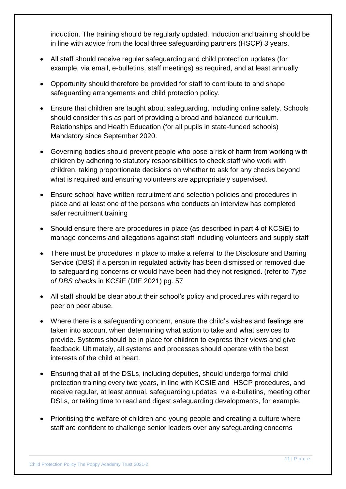induction. The training should be regularly updated. Induction and training should be in line with advice from the local three safeguarding partners (HSCP) 3 years.

- All staff should receive regular safeguarding and child protection updates (for example, via email, e-bulletins, staff meetings) as required, and at least annually
- Opportunity should therefore be provided for staff to contribute to and shape safeguarding arrangements and child protection policy.
- Ensure that children are taught about safeguarding, including online safety. Schools should consider this as part of providing a broad and balanced curriculum. Relationships and Health Education (for all pupils in state-funded schools) Mandatory since September 2020.
- Governing bodies should prevent people who pose a risk of harm from working with children by adhering to statutory responsibilities to check staff who work with children, taking proportionate decisions on whether to ask for any checks beyond what is required and ensuring volunteers are appropriately supervised.
- Ensure school have written recruitment and selection policies and procedures in place and at least one of the persons who conducts an interview has completed safer recruitment training
- Should ensure there are procedures in place (as described in part 4 of KCSiE) to manage concerns and allegations against staff including volunteers and supply staff
- There must be procedures in place to make a referral to the Disclosure and Barring Service (DBS) if a person in regulated activity has been dismissed or removed due to safeguarding concerns or would have been had they not resigned. (refer to *Type of DBS checks* in KCSiE (DfE 2021) pg. 57
- All staff should be clear about their school's policy and procedures with regard to peer on peer abuse.
- Where there is a safeguarding concern, ensure the child's wishes and feelings are taken into account when determining what action to take and what services to provide. Systems should be in place for children to express their views and give feedback. Ultimately, all systems and processes should operate with the best interests of the child at heart.
- Ensuring that all of the DSLs, including deputies, should undergo formal child protection training every two years, in line with KCSIE and HSCP procedures, and receive regular, at least annual, safeguarding updates via e-bulletins, meeting other DSLs, or taking time to read and digest safeguarding developments, for example.
- Prioritising the welfare of children and young people and creating a culture where staff are confident to challenge senior leaders over any safeguarding concerns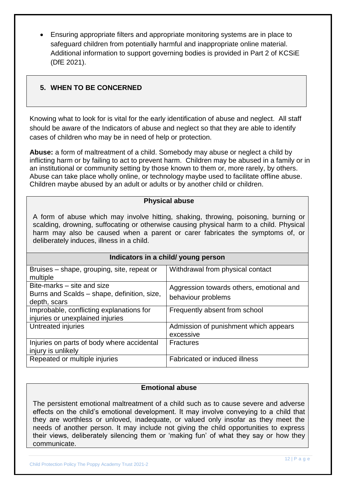Ensuring appropriate filters and appropriate monitoring systems are in place to safeguard children from potentially harmful and inappropriate online material. Additional information to support governing bodies is provided in Part 2 of KCSiE (DfE 2021).

# **5. WHEN TO BE CONCERNED**

Knowing what to look for is vital for the early identification of abuse and neglect. All staff should be aware of the Indicators of abuse and neglect so that they are able to identify cases of children who may be in need of help or protection.

**Abuse:** a form of maltreatment of a child. Somebody may abuse or neglect a child by inflicting harm or by failing to act to prevent harm. Children may be abused in a family or in an institutional or community setting by those known to them or, more rarely, by others. Abuse can take place wholly online, or technology maybe used to facilitate offline abuse. Children maybe abused by an adult or adults or by another child or children.

#### **Physical abuse**

A form of abuse which may involve hitting, shaking, throwing, poisoning, burning or scalding, drowning, suffocating or otherwise causing physical harm to a child. Physical harm may also be caused when a parent or carer fabricates the symptoms of, or deliberately induces, illness in a child.

| Indicators in a child/ young person                                                       |                                                                |  |
|-------------------------------------------------------------------------------------------|----------------------------------------------------------------|--|
| Bruises – shape, grouping, site, repeat or<br>multiple                                    | Withdrawal from physical contact                               |  |
| Bite-marks – site and size<br>Burns and Scalds - shape, definition, size,<br>depth, scars | Aggression towards others, emotional and<br>behaviour problems |  |
| Improbable, conflicting explanations for<br>injuries or unexplained injuries              | Frequently absent from school                                  |  |
| Untreated injuries                                                                        | Admission of punishment which appears<br>excessive             |  |
| Injuries on parts of body where accidental<br>injury is unlikely                          | <b>Fractures</b>                                               |  |
| Repeated or multiple injuries                                                             | Fabricated or induced illness                                  |  |

## **Emotional abuse**

The persistent emotional maltreatment of a child such as to cause severe and adverse effects on the child's emotional development. It may involve conveying to a child that they are worthless or unloved, inadequate, or valued only insofar as they meet the needs of another person. It may include not giving the child opportunities to express their views, deliberately silencing them or 'making fun' of what they say or how they communicate.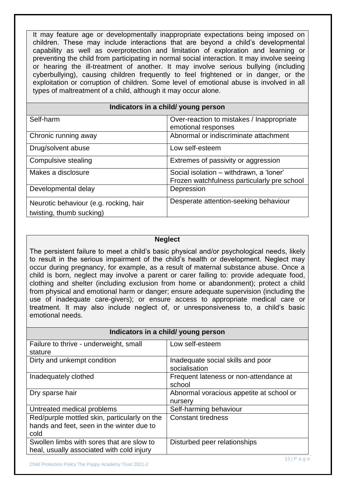It may feature age or developmentally inappropriate expectations being imposed on children. These may include interactions that are beyond a child's developmental capability as well as overprotection and limitation of exploration and learning or preventing the child from participating in normal social interaction. It may involve seeing or hearing the ill-treatment of another. It may involve serious bullying (including cyberbullying), causing children frequently to feel frightened or in danger, or the exploitation or corruption of children. Some level of emotional abuse is involved in all types of maltreatment of a child, although it may occur alone.

# **Indicators in a child/ young person**

| Self-harm                              | Over-reaction to mistakes / Inappropriate   |
|----------------------------------------|---------------------------------------------|
|                                        |                                             |
|                                        | emotional responses                         |
| Chronic running away                   | Abnormal or indiscriminate attachment       |
|                                        |                                             |
| Drug/solvent abuse                     | Low self-esteem                             |
|                                        |                                             |
| Compulsive stealing                    | Extremes of passivity or aggression         |
|                                        |                                             |
| Makes a disclosure                     | Social isolation - withdrawn, a 'loner'     |
|                                        |                                             |
|                                        | Frozen watchfulness particularly pre school |
| Developmental delay                    | Depression                                  |
|                                        |                                             |
|                                        | Desperate attention-seeking behaviour       |
| Neurotic behaviour (e.g. rocking, hair |                                             |
|                                        |                                             |
| twisting, thumb sucking)               |                                             |
|                                        |                                             |

#### **Neglect**

The persistent failure to meet a child's basic physical and/or psychological needs, likely to result in the serious impairment of the child's health or development. Neglect may occur during pregnancy, for example, as a result of maternal substance abuse. Once a child is born, neglect may involve a parent or carer failing to: provide adequate food, clothing and shelter (including exclusion from home or abandonment); protect a child from physical and emotional harm or danger; ensure adequate supervision (including the use of inadequate care-givers); or ensure access to appropriate medical care or treatment. It may also include neglect of, or unresponsiveness to, a child's basic emotional needs.

| Indicators in a child/ young person          |                                          |  |
|----------------------------------------------|------------------------------------------|--|
| Failure to thrive - underweight, small       | Low self-esteem                          |  |
| stature                                      |                                          |  |
| Dirty and unkempt condition                  | Inadequate social skills and poor        |  |
|                                              | socialisation                            |  |
| Inadequately clothed                         | Frequent lateness or non-attendance at   |  |
|                                              | school                                   |  |
| Dry sparse hair                              | Abnormal voracious appetite at school or |  |
|                                              | nursery                                  |  |
| Untreated medical problems                   | Self-harming behaviour                   |  |
| Red/purple mottled skin, particularly on the | <b>Constant tiredness</b>                |  |
| hands and feet, seen in the winter due to    |                                          |  |
| cold                                         |                                          |  |
| Swollen limbs with sores that are slow to    | Disturbed peer relationships             |  |
| heal, usually associated with cold injury    |                                          |  |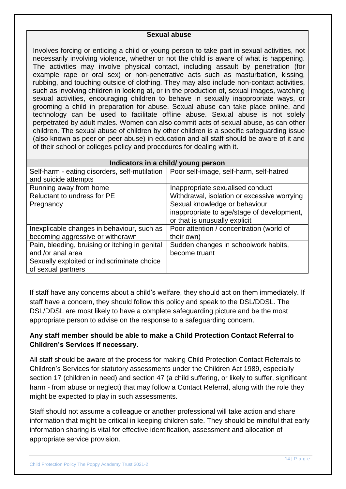#### **Sexual abuse**

Involves forcing or enticing a child or young person to take part in sexual activities, not necessarily involving violence, whether or not the child is aware of what is happening. The activities may involve physical contact, including assault by penetration (for example rape or oral sex) or non-penetrative acts such as masturbation, kissing, rubbing, and touching outside of clothing. They may also include non-contact activities, such as involving children in looking at, or in the production of, sexual images, watching sexual activities, encouraging children to behave in sexually inappropriate ways, or grooming a child in preparation for abuse. Sexual abuse can take place online, and technology can be used to facilitate offline abuse. Sexual abuse is not solely perpetrated by adult males. Women can also commit acts of sexual abuse, as can other children. The sexual abuse of children by other children is a specific safeguarding issue (also known as peer on peer abuse) in education and all staff should be aware of it and of their school or colleges policy and procedures for dealing with it.

| Indicators in a child/ young person            |                                             |  |
|------------------------------------------------|---------------------------------------------|--|
| Self-harm - eating disorders, self-mutilation  | Poor self-image, self-harm, self-hatred     |  |
| and suicide attempts                           |                                             |  |
| Running away from home                         | Inappropriate sexualised conduct            |  |
| Reluctant to undress for PE                    | Withdrawal, isolation or excessive worrying |  |
| Pregnancy                                      | Sexual knowledge or behaviour               |  |
|                                                | inappropriate to age/stage of development,  |  |
|                                                | or that is unusually explicit               |  |
| Inexplicable changes in behaviour, such as     | Poor attention / concentration (world of    |  |
| becoming aggressive or withdrawn               | their own)                                  |  |
| Pain, bleeding, bruising or itching in genital | Sudden changes in schoolwork habits,        |  |
| and /or anal area                              | become truant                               |  |
| Sexually exploited or indiscriminate choice    |                                             |  |
| of sexual partners                             |                                             |  |

If staff have any concerns about a child's welfare, they should act on them immediately. If staff have a concern, they should follow this policy and speak to the DSL/DDSL. The DSL/DDSL are most likely to have a complete safeguarding picture and be the most appropriate person to advise on the response to a safeguarding concern.

# **Any staff member should be able to make a Child Protection Contact Referral to Children's Services if necessary.**

All staff should be aware of the process for making Child Protection Contact Referrals to Children's Services for statutory assessments under the Children Act 1989, especially section 17 (children in need) and section 47 (a child suffering, or likely to suffer, significant harm - from abuse or neglect) that may follow a Contact Referral, along with the role they might be expected to play in such assessments.

Staff should not assume a colleague or another professional will take action and share information that might be critical in keeping children safe. They should be mindful that early information sharing is vital for effective identification, assessment and allocation of appropriate service provision.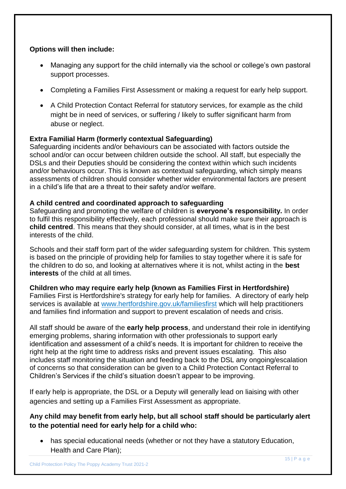# **Options will then include:**

- Managing any support for the child internally via the school or college's own pastoral support processes.
- Completing a Families First Assessment or making a request for early help support.
- A Child Protection Contact Referral for statutory services, for example as the child might be in need of services, or suffering / likely to suffer significant harm from abuse or neglect.

# **Extra Familial Harm (formerly contextual Safeguarding)**

Safeguarding incidents and/or behaviours can be associated with factors outside the school and/or can occur between children outside the school. All staff, but especially the DSLs and their Deputies should be considering the context within which such incidents and/or behaviours occur. This is known as contextual safeguarding, which simply means assessments of children should consider whether wider environmental factors are present in a child's life that are a threat to their safety and/or welfare.

#### **A child centred and coordinated approach to safeguarding**

Safeguarding and promoting the welfare of children is **everyone's responsibility.** In order to fulfil this responsibility effectively, each professional should make sure their approach is **child centred**. This means that they should consider, at all times, what is in the best interests of the child.

Schools and their staff form part of the wider safeguarding system for children. This system is based on the principle of providing help for families to stay together where it is safe for the children to do so, and looking at alternatives where it is not, whilst acting in the **best interests** of the child at all times.

#### **Children who may require early help (known as Families First in Hertfordshire)**

Families First is Hertfordshire's strategy for early help for families. A directory of early help services is available at [www.hertfordshire.gov.uk/familiesfirst](http://www.hertfordshire.gov.uk/familiesfirst) which will help practitioners and families find information and support to prevent escalation of needs and crisis.

All staff should be aware of the **early help process**, and understand their role in identifying emerging problems, sharing information with other professionals to support early identification and assessment of a child's needs. It is important for children to receive the right help at the right time to address risks and prevent issues escalating. This also includes staff monitoring the situation and feeding back to the DSL any ongoing/escalation of concerns so that consideration can be given to a Child Protection Contact Referral to Children's Services if the child's situation doesn't appear to be improving.

If early help is appropriate, the DSL or a Deputy will generally lead on liaising with other agencies and setting up a Families First Assessment as appropriate.

**Any child may benefit from early help, but all school staff should be particularly alert to the potential need for early help for a child who:** 

 has special educational needs (whether or not they have a statutory Education, Health and Care Plan);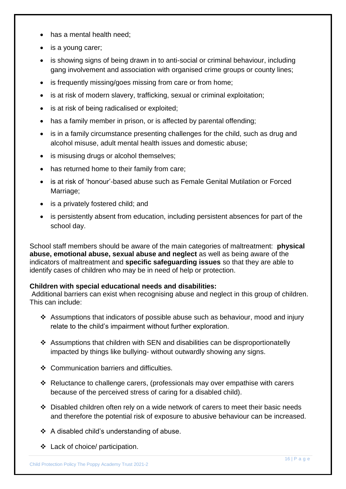- has a mental health need;
- is a young carer;
- is showing signs of being drawn in to anti-social or criminal behaviour, including gang involvement and association with organised crime groups or county lines;
- is frequently missing/goes missing from care or from home;
- is at risk of modern slavery, trafficking, sexual or criminal exploitation;
- is at risk of being radicalised or exploited;
- has a family member in prison, or is affected by parental offending;
- is in a family circumstance presenting challenges for the child, such as drug and alcohol misuse, adult mental health issues and domestic abuse;
- is misusing drugs or alcohol themselves;
- has returned home to their family from care;
- is at risk of 'honour'-based abuse such as Female Genital Mutilation or Forced Marriage;
- is a privately fostered child; and
- is persistently absent from education, including persistent absences for part of the school day.

School staff members should be aware of the main categories of maltreatment: **physical abuse, emotional abuse, sexual abuse and neglect** as well as being aware of the indicators of maltreatment and **specific safeguarding issues** so that they are able to identify cases of children who may be in need of help or protection.

#### **Children with special educational needs and disabilities:**

Additional barriers can exist when recognising abuse and neglect in this group of children. This can include:

- Assumptions that indicators of possible abuse such as behaviour, mood and injury relate to the child's impairment without further exploration.
- Assumptions that children with SEN and disabilities can be disproportionatelly impacted by things like bullying- without outwardly showing any signs.
- Communication barriers and difficulties.
- $\cdot$  Reluctance to challenge carers, (professionals may over empathise with carers because of the perceived stress of caring for a disabled child).
- $\div$  Disabled children often rely on a wide network of carers to meet their basic needs and therefore the potential risk of exposure to abusive behaviour can be increased.
- A disabled child's understanding of abuse.
- Lack of choice/ participation.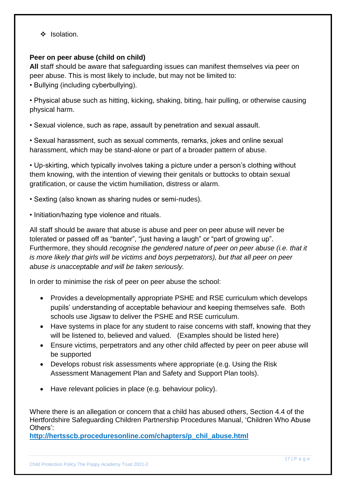$\div$  Isolation.

#### **Peer on peer abuse (child on child)**

**All** staff should be aware that safeguarding issues can manifest themselves via peer on peer abuse. This is most likely to include, but may not be limited to:

• Bullying (including cyberbullying).

• Physical abuse such as hitting, kicking, shaking, biting, hair pulling, or otherwise causing physical harm.

• Sexual violence, such as rape, assault by penetration and sexual assault.

• Sexual harassment, such as sexual comments, remarks, jokes and online sexual harassment, which may be stand-alone or part of a broader pattern of abuse.

• Up-skirting, which typically involves taking a picture under a person's clothing without them knowing, with the intention of viewing their genitals or buttocks to obtain sexual gratification, or cause the victim humiliation, distress or alarm.

• Sexting (also known as sharing nudes or semi-nudes).

• Initiation/hazing type violence and rituals.

All staff should be aware that abuse is abuse and peer on peer abuse will never be tolerated or passed off as "banter", "just having a laugh" or "part of growing up". Furthermore, they should *recognise the gendered nature of peer on peer abuse (i.e. that it is more likely that girls will be victims and boys perpetrators), but that all peer on peer abuse is unacceptable and will be taken seriously.*

In order to minimise the risk of peer on peer abuse the school:

- Provides a developmentally appropriate PSHE and RSE curriculum which develops pupils' understanding of acceptable behaviour and keeping themselves safe. Both schools use Jigsaw to deliver the PSHE and RSE curriculum.
- Have systems in place for any student to raise concerns with staff, knowing that they will be listened to, believed and valued. (Examples should be listed here)
- Ensure victims, perpetrators and any other child affected by peer on peer abuse will be supported
- Develops robust risk assessments where appropriate (e.g. Using the Risk Assessment Management Plan and Safety and Support Plan tools).
- Have relevant policies in place (e.g. behaviour policy).

Where there is an allegation or concern that a child has abused others, Section 4.4 of the Hertfordshire Safeguarding Children Partnership Procedures Manual, 'Children Who Abuse Others':

**[http://hertsscb.proceduresonline.com/chapters/p\\_chil\\_abuse.html](http://hertsscb.proceduresonline.com/chapters/p_chil_abuse.html)**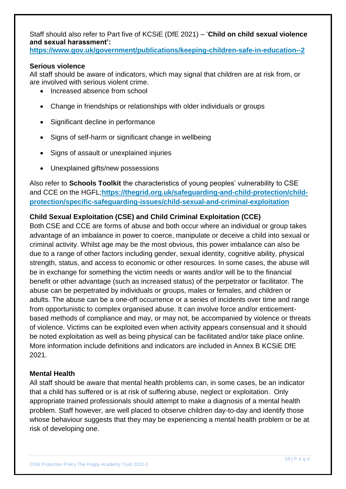Staff should also refer to Part five of KCSiE (DfE 2021) – '**Child on child sexual violence and sexual harassment':**

**<https://www.gov.uk/government/publications/keeping-children-safe-in-education--2>**

## **Serious violence**

All staff should be aware of indicators, which may signal that children are at risk from, or are involved with serious violent crime.

- Increased absence from school
- Change in friendships or relationships with older individuals or groups
- Significant decline in performance
- Signs of self-harm or significant change in wellbeing
- Signs of assault or unexplained injuries
- Unexplained gifts/new possessions

Also refer to **Schools Toolkit** the characteristics of young peoples' vulnerability to CSE and CCE on the HGFL;**[https://thegrid.org.uk/safeguarding-and-child-protection/child](https://thegrid.org.uk/safeguarding-and-child-protection/child-protection/specific-safeguarding-issues/child-sexual-and-criminal-exploitation)[protection/specific-safeguarding-issues/child-sexual-and-criminal-exploitation](https://thegrid.org.uk/safeguarding-and-child-protection/child-protection/specific-safeguarding-issues/child-sexual-and-criminal-exploitation)**

# **Child Sexual Exploitation (CSE) and Child Criminal Exploitation (CCE)**

Both CSE and CCE are forms of abuse and both occur where an individual or group takes advantage of an imbalance in power to coerce, manipulate or deceive a child into sexual or criminal activity. Whilst age may be the most obvious, this power imbalance can also be due to a range of other factors including gender, sexual identity, cognitive ability, physical strength, status, and access to economic or other resources. In some cases, the abuse will be in exchange for something the victim needs or wants and/or will be to the financial benefit or other advantage (such as increased status) of the perpetrator or facilitator. The abuse can be perpetrated by individuals or groups, males or females, and children or adults. The abuse can be a one-off occurrence or a series of incidents over time and range from opportunistic to complex organised abuse. It can involve force and/or enticementbased methods of compliance and may, or may not, be accompanied by violence or threats of violence. Victims can be exploited even when activity appears consensual and it should be noted exploitation as well as being physical can be facilitated and/or take place online. More information include definitions and indicators are included in Annex B KCSiE DfE 2021.

#### **Mental Health**

All staff should be aware that mental health problems can, in some cases, be an indicator that a child has suffered or is at risk of suffering abuse, neglect or exploitation. Only appropriate trained professionals should attempt to make a diagnosis of a mental health problem. Staff however, are well placed to observe children day-to-day and identify those whose behaviour suggests that they may be experiencing a mental health problem or be at risk of developing one.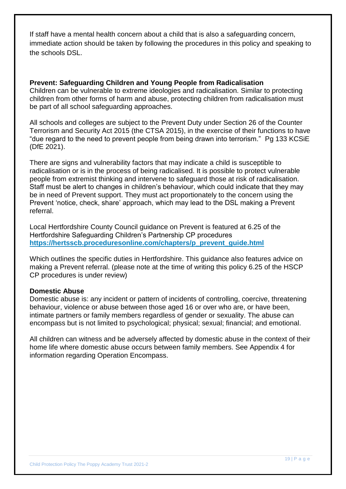If staff have a mental health concern about a child that is also a safeguarding concern, immediate action should be taken by following the procedures in this policy and speaking to the schools DSL.

**Prevent: Safeguarding Children and Young People from Radicalisation** Children can be vulnerable to extreme ideologies and radicalisation. Similar to protecting children from other forms of harm and abuse, protecting children from radicalisation must be part of all school safeguarding approaches.

All schools and colleges are subject to the Prevent Duty under Section 26 of the Counter Terrorism and Security Act 2015 (the CTSA 2015), in the exercise of their functions to have "due regard to the need to prevent people from being drawn into terrorism." Pg 133 KCSiE (DfE 2021).

There are signs and vulnerability factors that may indicate a child is susceptible to radicalisation or is in the process of being radicalised. It is possible to protect vulnerable people from extremist thinking and intervene to safeguard those at risk of radicalisation. Staff must be alert to changes in children's behaviour, which could indicate that they may be in need of Prevent support. They must act proportionately to the concern using the Prevent 'notice, check, share' approach, which may lead to the DSL making a Prevent referral.

Local Hertfordshire County Council guidance on Prevent is featured at 6.25 of the Hertfordshire Safeguarding Children's Partnership CP procedures **[https://hertsscb.proceduresonline.com/chapters/p\\_prevent\\_guide.html](https://hertsscb.proceduresonline.com/chapters/p_prevent_guide.html)**

Which outlines the specific duties in Hertfordshire. This guidance also features advice on making a Prevent referral. (please note at the time of writing this policy 6.25 of the HSCP CP procedures is under review)

#### **Domestic Abuse**

Domestic abuse is: any incident or pattern of incidents of controlling, coercive, threatening behaviour, violence or abuse between those aged 16 or over who are, or have been, intimate partners or family members regardless of gender or sexuality. The abuse can encompass but is not limited to psychological; physical; sexual; financial; and emotional.

All children can witness and be adversely affected by domestic abuse in the context of their home life where domestic abuse occurs between family members. See Appendix 4 for information regarding Operation Encompass.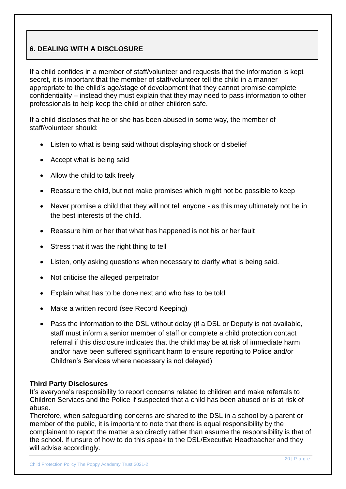# **6. DEALING WITH A DISCLOSURE**

If a child confides in a member of staff/volunteer and requests that the information is kept secret, it is important that the member of staff/volunteer tell the child in a manner appropriate to the child's age/stage of development that they cannot promise complete confidentiality – instead they must explain that they may need to pass information to other professionals to help keep the child or other children safe.

If a child discloses that he or she has been abused in some way, the member of staff/volunteer should:

- Listen to what is being said without displaying shock or disbelief
- Accept what is being said
- Allow the child to talk freely
- Reassure the child, but not make promises which might not be possible to keep
- Never promise a child that they will not tell anyone as this may ultimately not be in the best interests of the child.
- Reassure him or her that what has happened is not his or her fault
- Stress that it was the right thing to tell
- Listen, only asking questions when necessary to clarify what is being said.
- Not criticise the alleged perpetrator
- Explain what has to be done next and who has to be told
- Make a written record (see Record Keeping)
- Pass the information to the DSL without delay (if a DSL or Deputy is not available, staff must inform a senior member of staff or complete a child protection contact referral if this disclosure indicates that the child may be at risk of immediate harm and/or have been suffered significant harm to ensure reporting to Police and/or Children's Services where necessary is not delayed)

#### **Third Party Disclosures**

It's everyone's responsibility to report concerns related to children and make referrals to Children Services and the Police if suspected that a child has been abused or is at risk of abuse.

Therefore, when safeguarding concerns are shared to the DSL in a school by a parent or member of the public, it is important to note that there is equal responsibility by the complainant to report the matter also directly rather than assume the responsibility is that of the school. If unsure of how to do this speak to the DSL/Executive Headteacher and they will advise accordingly.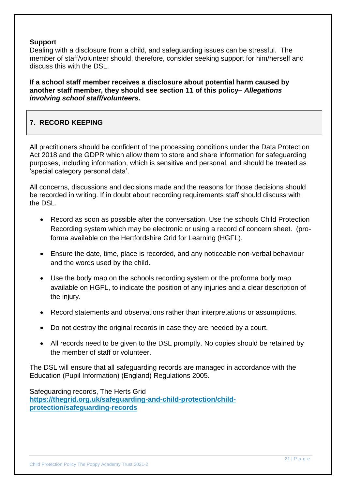#### **Support**

Dealing with a disclosure from a child, and safeguarding issues can be stressful. The member of staff/volunteer should, therefore, consider seeking support for him/herself and discuss this with the DSL.

**If a school staff member receives a disclosure about potential harm caused by another staff member, they should see section 11 of this policy–** *Allegations involving school staff/volunteers.* 

# **7. RECORD KEEPING**

All practitioners should be confident of the processing conditions under the Data Protection Act 2018 and the GDPR which allow them to store and share information for safeguarding purposes, including information, which is sensitive and personal, and should be treated as 'special category personal data'.

All concerns, discussions and decisions made and the reasons for those decisions should be recorded in writing. If in doubt about recording requirements staff should discuss with the DSL.

- Record as soon as possible after the conversation. Use the schools Child Protection Recording system which may be electronic or using a record of concern sheet. (proforma available on the Hertfordshire Grid for Learning (HGFL).
- Ensure the date, time, place is recorded, and any noticeable non-verbal behaviour and the words used by the child.
- Use the body map on the schools recording system or the proforma body map available on HGFL, to indicate the position of any injuries and a clear description of the injury.
- Record statements and observations rather than interpretations or assumptions.
- Do not destroy the original records in case they are needed by a court.
- All records need to be given to the DSL promptly. No copies should be retained by the member of staff or volunteer.

The DSL will ensure that all safeguarding records are managed in accordance with the Education (Pupil Information) (England) Regulations 2005.

Safeguarding records, The Herts Grid **[https://thegrid.org.uk/safeguarding-and-child-protection/child](https://thegrid.org.uk/safeguarding-and-child-protection/child-protection/safeguarding-records)[protection/safeguarding-records](https://thegrid.org.uk/safeguarding-and-child-protection/child-protection/safeguarding-records)**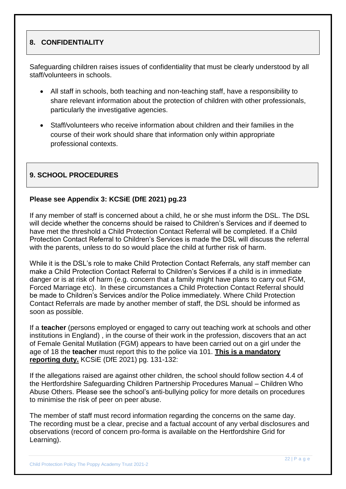# **8. CONFIDENTIALITY**

Safeguarding children raises issues of confidentiality that must be clearly understood by all staff/volunteers in schools.

- All staff in schools, both teaching and non-teaching staff, have a responsibility to share relevant information about the protection of children with other professionals, particularly the investigative agencies.
- Staff/volunteers who receive information about children and their families in the course of their work should share that information only within appropriate professional contexts.

# **9. SCHOOL PROCEDURES**

#### **Please see Appendix 3: KCSiE (DfE 2021) pg.23**

If any member of staff is concerned about a child, he or she must inform the DSL. The DSL will decide whether the concerns should be raised to Children's Services and if deemed to have met the threshold a Child Protection Contact Referral will be completed. If a Child Protection Contact Referral to Children's Services is made the DSL will discuss the referral with the parents, unless to do so would place the child at further risk of harm.

While it is the DSL's role to make Child Protection Contact Referrals, any staff member can make a Child Protection Contact Referral to Children's Services if a child is in immediate danger or is at risk of harm (e.g. concern that a family might have plans to carry out FGM, Forced Marriage etc). In these circumstances a Child Protection Contact Referral should be made to Children's Services and/or the Police immediately. Where Child Protection Contact Referrals are made by another member of staff, the DSL should be informed as soon as possible.

If a **teacher** (persons employed or engaged to carry out teaching work at schools and other institutions in England) , in the course of their work in the profession, discovers that an act of Female Genital Mutilation (FGM) appears to have been carried out on a girl under the age of 18 the **teacher** must report this to the police via 101. **This is a mandatory reporting duty.** KCSiE (DfE 2021) pg. 131-132:

If the allegations raised are against other children, the school should follow section 4.4 of the Hertfordshire Safeguarding Children Partnership Procedures Manual – Children Who Abuse Others. Please see the school's anti-bullying policy for more details on procedures to minimise the risk of peer on peer abuse.

The member of staff must record information regarding the concerns on the same day. The recording must be a clear, precise and a factual account of any verbal disclosures and observations (record of concern pro-forma is available on the Hertfordshire Grid for Learning).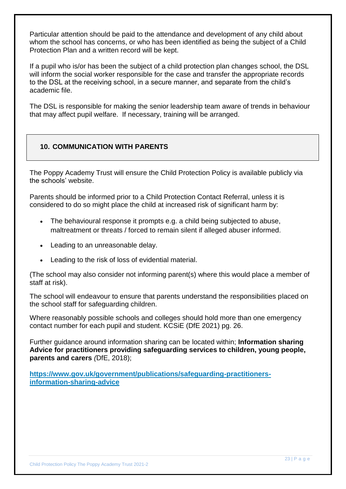Particular attention should be paid to the attendance and development of any child about whom the school has concerns, or who has been identified as being the subject of a Child Protection Plan and a written record will be kept.

If a pupil who is/or has been the subject of a child protection plan changes school, the DSL will inform the social worker responsible for the case and transfer the appropriate records to the DSL at the receiving school, in a secure manner, and separate from the child's academic file.

The DSL is responsible for making the senior leadership team aware of trends in behaviour that may affect pupil welfare. If necessary, training will be arranged.

# **10. COMMUNICATION WITH PARENTS**

The Poppy Academy Trust will ensure the Child Protection Policy is available publicly via the schools' website.

Parents should be informed prior to a Child Protection Contact Referral, unless it is considered to do so might place the child at increased risk of significant harm by:

- The behavioural response it prompts e.g. a child being subjected to abuse, maltreatment or threats / forced to remain silent if alleged abuser informed.
- Leading to an unreasonable delay.
- Leading to the risk of loss of evidential material.

(The school may also consider not informing parent(s) where this would place a member of staff at risk).

The school will endeavour to ensure that parents understand the responsibilities placed on the school staff for safeguarding children.

Where reasonably possible schools and colleges should hold more than one emergency contact number for each pupil and student. KCSiE (DfE 2021) pg. 26.

Further guidance around information sharing can be located within; **Information sharing Advice for practitioners providing safeguarding services to children, young people, parents and carers** *(*DfE, 2018);

**[https://www.gov.uk/government/publications/safeguarding-practitioners](https://www.gov.uk/government/publications/safeguarding-practitioners-information-sharing-advice)[information-sharing-advice](https://www.gov.uk/government/publications/safeguarding-practitioners-information-sharing-advice)**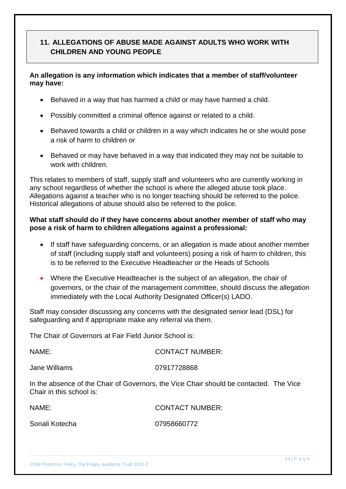# **11. ALLEGATIONS OF ABUSE MADE AGAINST ADULTS WHO WORK WITH CHILDREN AND YOUNG PEOPLE**

# **An allegation is any information which indicates that a member of staff/volunteer may have:**

- Behaved in a way that has harmed a child or may have harmed a child.
- Possibly committed a criminal offence against or related to a child.
- Behaved towards a child or children in a way which indicates he or she would pose a risk of harm to children or
- Behaved or may have behaved in a way that indicated they may not be suitable to work with children.

This relates to members of staff, supply staff and volunteers who are currently working in any school regardless of whether the school is where the alleged abuse took place. Allegations against a teacher who is no longer teaching should be referred to the police. Historical allegations of abuse should also be referred to the police.

## **What staff should do if they have concerns about another member of staff who may pose a risk of harm to children allegations against a professional:**

- If staff have safeguarding concerns, or an allegation is made about another member of staff (including supply staff and volunteers) posing a risk of harm to children, this is to be referred to the Executive Headteacher or the Heads of Schools
- Where the Executive Headteacher is the subject of an allegation, the chair of governors, or the chair of the management committee, should discuss the allegation immediately with the Local Authority Designated Officer(s) LADO.

Staff may consider discussing any concerns with the designated senior lead (DSL) for safeguarding and if appropriate make any referral via them.

The Chair of Governors at Fair Field Junior School is:

| NAME:         | <b>CONTACT NUMBER:</b>                  |
|---------------|-----------------------------------------|
| Jane Williams | 07917728868                             |
|               | 10 I 10 A 10 A 10 A 20 10 A 20 10 11 22 |

In the absence of the Chair of Governors, the Vice Chair should be contacted. The Vice Chair in this school is:

| NAME:          | <b>CONTACT NUMBER:</b> |
|----------------|------------------------|
| Sonali Kotecha | 07958660772            |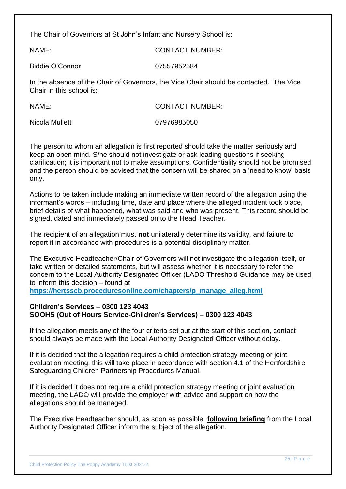The Chair of Governors at St John's Infant and Nursery School is:

NAME: CONTACT NUMBER:

Biddie O'Connor 07557952584

In the absence of the Chair of Governors, the Vice Chair should be contacted. The Vice Chair in this school is:

| NAME:          | <b>CONTACT NUMBER:</b> |
|----------------|------------------------|
| Nicola Mullett | 07976985050            |

The person to whom an allegation is first reported should take the matter seriously and keep an open mind. S/he should not investigate or ask leading questions if seeking clarification; it is important not to make assumptions. Confidentiality should not be promised and the person should be advised that the concern will be shared on a 'need to know' basis only.

Actions to be taken include making an immediate written record of the allegation using the informant's words – including time, date and place where the alleged incident took place, brief details of what happened, what was said and who was present. This record should be signed, dated and immediately passed on to the Head Teacher.

The recipient of an allegation must **not** unilaterally determine its validity, and failure to report it in accordance with procedures is a potential disciplinary matter.

The Executive Headteacher/Chair of Governors will not investigate the allegation itself, or take written or detailed statements, but will assess whether it is necessary to refer the concern to the Local Authority Designated Officer (LADO Threshold Guidance may be used to inform this decision – found at

**[https://hertsscb.proceduresonline.com/chapters/p\\_manage\\_alleg.html](https://hertsscb.proceduresonline.com/chapters/p_manage_alleg.html)**

#### **Children's Services – 0300 123 4043 SOOHS (Out of Hours Service-Children's Services) – 0300 123 4043**

If the allegation meets any of the four criteria set out at the start of this section, contact should always be made with the Local Authority Designated Officer without delay.

If it is decided that the allegation requires a child protection strategy meeting or joint evaluation meeting, this will take place in accordance with section 4.1 of the Hertfordshire Safeguarding Children Partnership Procedures Manual.

If it is decided it does not require a child protection strategy meeting or joint evaluation meeting, the LADO will provide the employer with advice and support on how the allegations should be managed.

The Executive Headteacher should, as soon as possible, **following briefing** from the Local Authority Designated Officer inform the subject of the allegation.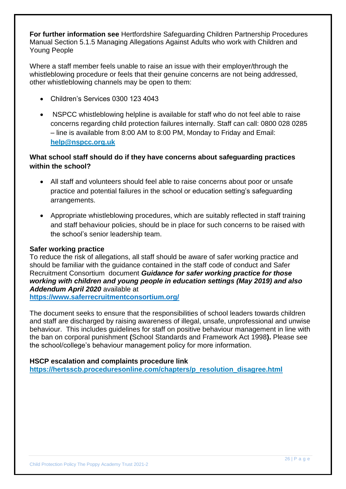**For further information see** Hertfordshire Safeguarding Children Partnership Procedures Manual Section 5.1.5 [Managing Allegations Against Adults who work with Children and](http://www.proceduresonline.com/herts_scb/chapters/p_manage_alleg.html)  [Young People](http://www.proceduresonline.com/herts_scb/chapters/p_manage_alleg.html) 

Where a staff member feels unable to raise an issue with their employer/through the whistleblowing procedure or feels that their genuine concerns are not being addressed, other whistleblowing channels may be open to them:

- Children's Services 0300 123 4043
- NSPCC whistleblowing helpline is available for staff who do not feel able to raise concerns regarding child protection failures internally. Staff can call: 0800 028 0285 – line is available from 8:00 AM to 8:00 PM, Monday to Friday and Email: **[help@nspcc.org.uk](mailto:help@nspcc.org.uk)**

# **What school staff should do if they have concerns about safeguarding practices within the school?**

- All staff and volunteers should feel able to raise concerns about poor or unsafe practice and potential failures in the school or education setting's safeguarding arrangements.
- Appropriate whistleblowing procedures, which are suitably reflected in staff training and staff behaviour policies, should be in place for such concerns to be raised with the school's senior leadership team.

#### **Safer working practice**

To reduce the risk of allegations, all staff should be aware of safer working practice and should be familiar with the guidance contained in the staff code of conduct and Safer Recruitment Consortium document *Guidance for safer working practice for those working with children and young people in education settings (May 2019) and also Addendum April 2020* available at

**<https://www.saferrecruitmentconsortium.org/>**

The document seeks to ensure that the responsibilities of school leaders towards children and staff are discharged by raising awareness of illegal, unsafe, unprofessional and unwise behaviour. This includes guidelines for staff on positive behaviour management in line with the ban on corporal punishment **(**School Standards and Framework Act 1998**).** Please see the school/college's behaviour management policy for more information.

#### **HSCP escalation and complaints procedure link**

**[https://hertsscb.proceduresonline.com/chapters/p\\_resolution\\_disagree.html](https://hertsscb.proceduresonline.com/chapters/p_resolution_disagree.html)**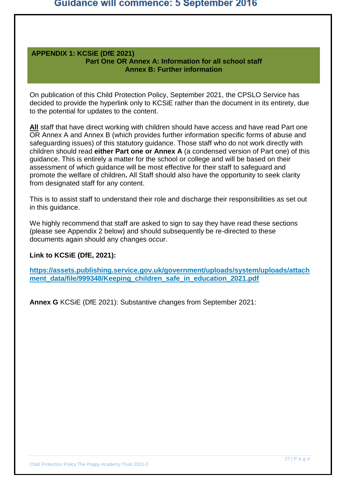#### **APPENDIX 1: KCSiE (DfE 2021) Part One OR Annex A: Information for all school staff Annex B: Further information**

On publication of this Child Protection Policy, September 2021, the CPSLO Service has decided to provide the hyperlink only to KCSiE rather than the document in its entirety, due to the potential for updates to the content.

**All** staff that have direct working with children should have access and have read Part one OR Annex A and Annex B (which provides further information specific forms of abuse and safeguarding issues) of this statutory guidance. Those staff who do not work directly with children should read **either Part one or Annex A** (a condensed version of Part one) of this guidance. This is entirely a matter for the school or college and will be based on their assessment of which guidance will be most effective for their staff to safeguard and promote the welfare of children**.** All Staff should also have the opportunity to seek clarity from designated staff for any content.

This is to assist staff to understand their role and discharge their responsibilities as set out in this guidance.

We highly recommend that staff are asked to sign to say they have read these sections (please see Appendix 2 below) and should subsequently be re-directed to these documents again should any changes occur.

#### **Link to KCSiE (DfE, 2021):**

**[https://assets.publishing.service.gov.uk/government/uploads/system/uploads/attach](https://assets.publishing.service.gov.uk/government/uploads/system/uploads/attachment_data/file/999348/Keeping_children_safe_in_education_2021.pdf) [ment\\_data/file/999348/Keeping\\_children\\_safe\\_in\\_education\\_2021.pdf](https://assets.publishing.service.gov.uk/government/uploads/system/uploads/attachment_data/file/999348/Keeping_children_safe_in_education_2021.pdf)**

**Annex G** KCSiE (DfE 2021): Substantive changes from September 2021: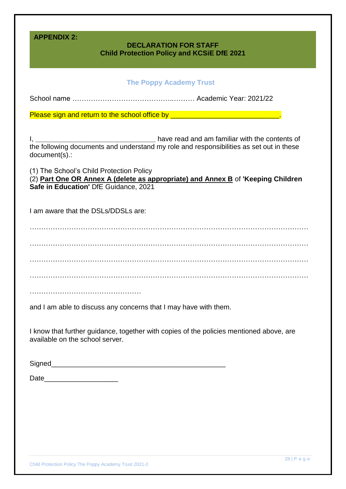| <b>APPENDIX 2:</b><br><b>DECLARATION FOR STAFF</b><br><b>Child Protection Policy and KCSIE DfE 2021</b>                                                               |
|-----------------------------------------------------------------------------------------------------------------------------------------------------------------------|
|                                                                                                                                                                       |
| <b>The Poppy Academy Trust</b>                                                                                                                                        |
|                                                                                                                                                                       |
| Please sign and return to the school office by _________________________________                                                                                      |
|                                                                                                                                                                       |
| have read and am familiar with the contents of<br>the following documents and understand my role and responsibilities as set out in these<br>document(s).:            |
| (1) The School's Child Protection Policy<br>(2) Part One OR Annex A (delete as appropriate) and Annex B of 'Keeping Children<br>Safe in Education' DfE Guidance, 2021 |
| I am aware that the DSLs/DDSLs are:                                                                                                                                   |
|                                                                                                                                                                       |
|                                                                                                                                                                       |
|                                                                                                                                                                       |
|                                                                                                                                                                       |
|                                                                                                                                                                       |
|                                                                                                                                                                       |
|                                                                                                                                                                       |
| and I am able to discuss any concerns that I may have with them.                                                                                                      |
| I know that further guidance, together with copies of the policies mentioned above, are<br>available on the school server.                                            |
|                                                                                                                                                                       |
| Date_________________________                                                                                                                                         |
|                                                                                                                                                                       |
|                                                                                                                                                                       |
|                                                                                                                                                                       |
|                                                                                                                                                                       |
|                                                                                                                                                                       |
|                                                                                                                                                                       |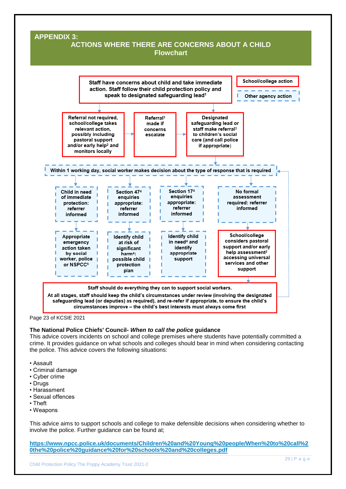#### **APPENDIX 3: ACTIONS WHERE THERE ARE CONCERNS ABOUT A CHILD Flowchart**



Page 23 of KCSIE 2021

#### **The National Police Chiefs' Council-** *When to call the police* **guidance**

This advice covers incidents on school and college premises where students have potentially committed a crime. It provides guidance on what schools and colleges should bear in mind when considering contacting the police. This advice covers the following situations:

- Assault
- Criminal damage
- Cyber crime
- Drugs
- Harassment
- Sexual offences
- Theft
- Weapons

This advice aims to support schools and college to make defensible decisions when considering whether to involve the police. Further guidance can be found at;

**[https://www.npcc.police.uk/documents/Children%20and%20Young%20people/When%20to%20call%2](https://www.npcc.police.uk/documents/Children%20and%20Young%20people/When%20to%20call%20the%20police%20guidance%20for%20schools%20and%20colleges.pdf) [0the%20police%20guidance%20for%20schools%20and%20colleges.pdf](https://www.npcc.police.uk/documents/Children%20and%20Young%20people/When%20to%20call%20the%20police%20guidance%20for%20schools%20and%20colleges.pdf)**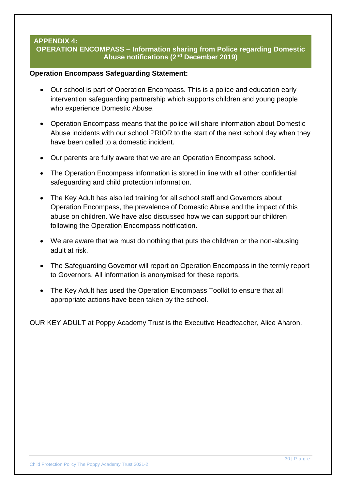#### **APPENDIX 4: OPERATION ENCOMPASS – Information sharing from Police regarding Domestic Abuse notifications (2nd December 2019)**

#### **Operation Encompass Safeguarding Statement:**

- Our school is part of Operation Encompass. This is a police and education early intervention safeguarding partnership which supports children and young people who experience Domestic Abuse.
- Operation Encompass means that the police will share information about Domestic Abuse incidents with our school PRIOR to the start of the next school day when they have been called to a domestic incident.
- Our parents are fully aware that we are an Operation Encompass school.
- The Operation Encompass information is stored in line with all other confidential safeguarding and child protection information.
- The Key Adult has also led training for all school staff and Governors about Operation Encompass, the prevalence of Domestic Abuse and the impact of this abuse on children. We have also discussed how we can support our children following the Operation Encompass notification.
- We are aware that we must do nothing that puts the child/ren or the non-abusing adult at risk.
- The Safeguarding Governor will report on Operation Encompass in the termly report to Governors. All information is anonymised for these reports.
- The Key Adult has used the Operation Encompass Toolkit to ensure that all appropriate actions have been taken by the school.

OUR KEY ADULT at Poppy Academy Trust is the Executive Headteacher, Alice Aharon.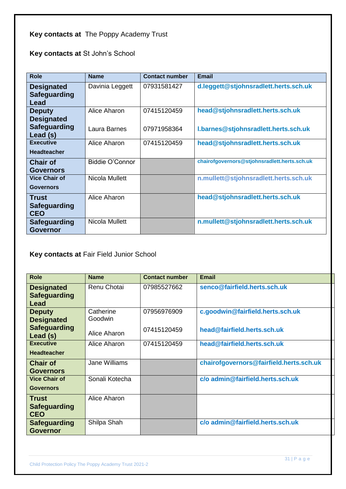# **Key contacts at** The Poppy Academy Trust

**Key contacts at** St John's School

| <b>Role</b>                                | <b>Name</b>     | <b>Contact number</b> | <b>Email</b>                                 |
|--------------------------------------------|-----------------|-----------------------|----------------------------------------------|
| <b>Designated</b><br>Safeguarding<br>Lead  | Davinia Leggett | 07931581427           | d.leggett@stjohnsradlett.herts.sch.uk        |
| <b>Deputy</b><br><b>Designated</b>         | Alice Aharon    | 07415120459           | head@stjohnsradlett.herts.sch.uk             |
| <b>Safeguarding</b><br>Lead (s)            | Laura Barnes    | 07971958364           | I.barnes@stjohnsradlett.herts.sch.uk         |
| <b>Executive</b><br><b>Headteacher</b>     | Alice Aharon    | 07415120459           | head@stjohnsradlett.herts.sch.uk             |
| <b>Chair of</b><br><b>Governors</b>        | Biddie O'Connor |                       | chairofgovernors@stjohnsradlett.herts.sch.uk |
| <b>Vice Chair of</b><br><b>Governors</b>   | Nicola Mullett  |                       | n.mullett@stjohnsradlett.herts.sch.uk        |
| <b>Trust</b><br>Safeguarding<br><b>CEO</b> | Alice Aharon    |                       | head@stjohnsradlett.herts.sch.uk             |
| Safeguarding<br><b>Governor</b>            | Nicola Mullett  |                       | n.mullett@stjohnsradlett.herts.sch.uk        |

**Key contacts at** Fair Field Junior School

| <b>Role</b>                                       | <b>Name</b>          | <b>Contact number</b> | <b>Email</b>                            |
|---------------------------------------------------|----------------------|-----------------------|-----------------------------------------|
| <b>Designated</b><br><b>Safeguarding</b><br>Lead  | Renu Chotai          | 07985527662           | senco@fairfield.herts.sch.uk            |
| <b>Deputy</b><br><b>Designated</b>                | Catherine<br>Goodwin | 07956976909           | c.goodwin@fairfield.herts.sch.uk        |
| <b>Safeguarding</b><br>Lead (s)                   | Alice Aharon         | 07415120459           | head@fairfield.herts.sch.uk             |
| <b>Executive</b><br><b>Headteacher</b>            | Alice Aharon         | 07415120459           | head@fairfield.herts.sch.uk             |
| <b>Chair of</b><br><b>Governors</b>               | Jane Williams        |                       | chairofgovernors@fairfield.herts.sch.uk |
| <b>Vice Chair of</b><br><b>Governors</b>          | Sonali Kotecha       |                       | c/o admin@fairfield.herts.sch.uk        |
| <b>Trust</b><br><b>Safeguarding</b><br><b>CEO</b> | Alice Aharon         |                       |                                         |
| <b>Safeguarding</b><br><b>Governor</b>            | Shilpa Shah          |                       | c/o admin@fairfield.herts.sch.uk        |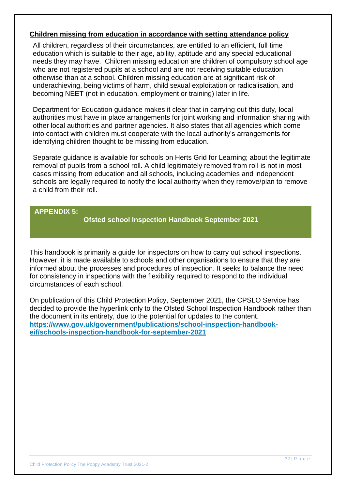#### **Children missing from education in accordance with setting attendance policy**

All children, regardless of their circumstances, are entitled to an efficient, full time education which is suitable to their age, ability, aptitude and any special educational needs they may have. Children missing education are children of compulsory school age who are not registered pupils at a school and are not receiving suitable education otherwise than at a school. Children missing education are at significant risk of underachieving, being victims of harm, child sexual exploitation or radicalisation, and becoming NEET (not in education, employment or training) later in life.

Department for Education guidance makes it clear that in carrying out this duty, local authorities must have in place arrangements for joint working and information sharing with other local authorities and partner agencies. It also states that all agencies which come into contact with children must cooperate with the local authority's arrangements for identifying children thought to be missing from education.

Separate guidance is available for schools on Herts Grid for Learning; about the legitimate removal of pupils from a school roll. A child legitimately removed from roll is not in most cases missing from education and all schools, including academies and independent schools are legally required to notify the local authority when they remove/plan to remove a child from their roll.

#### **APPENDIX 5:**

**Ofsted school Inspection Handbook September 2021**

This handbook is primarily a guide for inspectors on how to carry out school inspections. However, it is made available to schools and other organisations to ensure that they are informed about the processes and procedures of inspection. It seeks to balance the need for consistency in inspections with the flexibility required to respond to the individual circumstances of each school.

On publication of this Child Protection Policy, September 2021, the CPSLO Service has decided to provide the hyperlink only to the Ofsted School Inspection Handbook rather than the document in its entirety, due to the potential for updates to the content. **[https://www.gov.uk/government/publications/school-inspection-handbook](https://www.gov.uk/government/publications/school-inspection-handbook-eif/schools-inspection-handbook-for-september-2021)[eif/schools-inspection-handbook-for-september-2021](https://www.gov.uk/government/publications/school-inspection-handbook-eif/schools-inspection-handbook-for-september-2021)**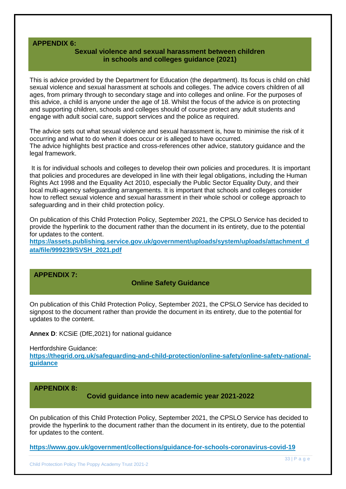#### **APPENDIX 6:**

#### **Sexual violence and sexual harassment between children in schools and colleges guidance (2021)**

This is advice provided by the Department for Education (the department). Its focus is child on child sexual violence and sexual harassment at schools and colleges. The advice covers children of all ages, from primary through to secondary stage and into colleges and online. For the purposes of this advice, a child is anyone under the age of 18. Whilst the focus of the advice is on protecting and supporting children, schools and colleges should of course protect any adult students and engage with adult social care, support services and the police as required.

The advice sets out what sexual violence and sexual harassment is, how to minimise the risk of it occurring and what to do when it does occur or is alleged to have occurred. The advice highlights best practice and cross-references other advice, statutory guidance and the legal framework.

It is for individual schools and colleges to develop their own policies and procedures. It is important that policies and procedures are developed in line with their legal obligations, including the Human Rights Act 1998 and the Equality Act 2010, especially the Public Sector Equality Duty, and their local multi-agency safeguarding arrangements. It is important that schools and colleges consider how to reflect sexual violence and sexual harassment in their whole school or college approach to safeguarding and in their child protection policy.

On publication of this Child Protection Policy, September 2021, the CPSLO Service has decided to provide the hyperlink to the document rather than the document in its entirety, due to the potential for updates to the content.

**[https://assets.publishing.service.gov.uk/government/uploads/system/uploads/attachment\\_d](https://assets.publishing.service.gov.uk/government/uploads/system/uploads/attachment_data/file/999239/SVSH_2021.pdf) [ata/file/999239/SVSH\\_2021.pdf](https://assets.publishing.service.gov.uk/government/uploads/system/uploads/attachment_data/file/999239/SVSH_2021.pdf)**

#### **APPENDIX 7:**

#### **Online Safety Guidance**

On publication of this Child Protection Policy, September 2021, the CPSLO Service has decided to signpost to the document rather than provide the document in its entirety, due to the potential for updates to the content.

**Annex D**: KCSiE (DfE,2021) for national guidance

Hertfordshire Guidance:

**[https://thegrid.org.uk/safeguarding-and-child-protection/online-safety/online-safety-national](https://thegrid.org.uk/safeguarding-and-child-protection/online-safety/online-safety-national-guidance)[guidance](https://thegrid.org.uk/safeguarding-and-child-protection/online-safety/online-safety-national-guidance)**

**APPENDIX 8:**

**Covid guidance into new academic year 2021-2022**

On publication of this Child Protection Policy, September 2021, the CPSLO Service has decided to provide the hyperlink to the document rather than the document in its entirety, due to the potential for updates to the content.

**<https://www.gov.uk/government/collections/guidance-for-schools-coronavirus-covid-19>**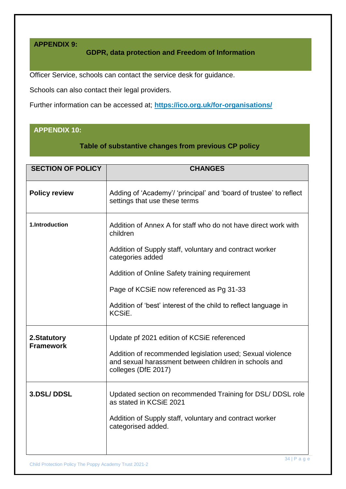## **APPENDIX 9:**

# **GDPR, data protection and Freedom of Information**

Officer Service, schools can contact the service desk for guidance.

Schools can also contact their legal providers.

Further information can be accessed at; **<https://ico.org.uk/for-organisations/>**

# **APPENDIX 10:**

**Table of substantive changes from previous CP policy**

| <b>SECTION OF POLICY</b>         | <b>CHANGES</b>                                                                                          |
|----------------------------------|---------------------------------------------------------------------------------------------------------|
| <b>Policy review</b>             | Adding of 'Academy'/ 'principal' and 'board of trustee' to reflect<br>settings that use these terms     |
| 1.Introduction                   | Addition of Annex A for staff who do not have direct work with<br>children                              |
|                                  | Addition of Supply staff, voluntary and contract worker<br>categories added                             |
|                                  | Addition of Online Safety training requirement                                                          |
|                                  | Page of KCSiE now referenced as Pg 31-33                                                                |
|                                  | Addition of 'best' interest of the child to reflect language in<br>KCSiE.                               |
| 2. Statutory<br><b>Framework</b> | Update pf 2021 edition of KCSIE referenced<br>Addition of recommended legislation used; Sexual violence |
|                                  | and sexual harassment between children in schools and<br>colleges (DfE 2017)                            |
| <b>3.DSL/DDSL</b>                | Updated section on recommended Training for DSL/ DDSL role<br>as stated in KCSiE 2021                   |
|                                  | Addition of Supply staff, voluntary and contract worker<br>categorised added.                           |
|                                  |                                                                                                         |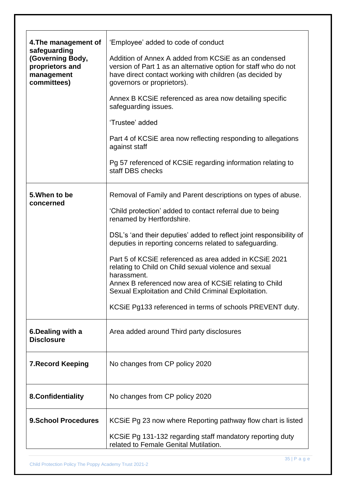| 4. The management of<br>safeguarding<br>(Governing Body,<br>proprietors and<br>management<br>committees) | 'Employee' added to code of conduct<br>Addition of Annex A added from KCSIE as an condensed<br>version of Part 1 as an alternative option for staff who do not<br>have direct contact working with children (as decided by<br>governors or proprietors).<br>Annex B KCSIE referenced as area now detailing specific<br>safeguarding issues.<br>'Trustee' added<br>Part 4 of KCSIE area now reflecting responding to allegations<br>against staff<br>Pg 57 referenced of KCSiE regarding information relating to<br>staff DBS checks                                                                      |
|----------------------------------------------------------------------------------------------------------|----------------------------------------------------------------------------------------------------------------------------------------------------------------------------------------------------------------------------------------------------------------------------------------------------------------------------------------------------------------------------------------------------------------------------------------------------------------------------------------------------------------------------------------------------------------------------------------------------------|
| 5. When to be<br>concerned                                                                               | Removal of Family and Parent descriptions on types of abuse.<br>'Child protection' added to contact referral due to being<br>renamed by Hertfordshire.<br>DSL's 'and their deputies' added to reflect joint responsibility of<br>deputies in reporting concerns related to safeguarding.<br>Part 5 of KCSIE referenced as area added in KCSIE 2021<br>relating to Child on Child sexual violence and sexual<br>harassment.<br>Annex B referenced now area of KCSiE relating to Child<br>Sexual Exploitation and Child Criminal Exploitation.<br>KCSIE Pg133 referenced in terms of schools PREVENT duty. |
| 6. Dealing with a<br><b>Disclosure</b>                                                                   | Area added around Third party disclosures                                                                                                                                                                                                                                                                                                                                                                                                                                                                                                                                                                |
| <b>7. Record Keeping</b>                                                                                 | No changes from CP policy 2020                                                                                                                                                                                                                                                                                                                                                                                                                                                                                                                                                                           |
| 8. Confidentiality                                                                                       | No changes from CP policy 2020                                                                                                                                                                                                                                                                                                                                                                                                                                                                                                                                                                           |
| <b>9.School Procedures</b>                                                                               | KCSIE Pg 23 now where Reporting pathway flow chart is listed<br>KCSIE Pg 131-132 regarding staff mandatory reporting duty<br>related to Female Genital Mutilation.                                                                                                                                                                                                                                                                                                                                                                                                                                       |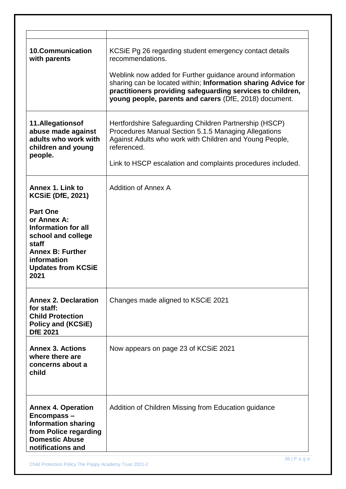| <b>10.Communication</b><br>with parents                                                                                                                                                                             | KCSIE Pg 26 regarding student emergency contact details<br>recommendations.<br>Weblink now added for Further guidance around information<br>sharing can be located within; Information sharing Advice for<br>practitioners providing safeguarding services to children,<br>young people, parents and carers (DfE, 2018) document. |
|---------------------------------------------------------------------------------------------------------------------------------------------------------------------------------------------------------------------|-----------------------------------------------------------------------------------------------------------------------------------------------------------------------------------------------------------------------------------------------------------------------------------------------------------------------------------|
| 11.Allegationsof<br>abuse made against<br>adults who work with<br>children and young<br>people.                                                                                                                     | Hertfordshire Safeguarding Children Partnership (HSCP)<br>Procedures Manual Section 5.1.5 Managing Allegations<br>Against Adults who work with Children and Young People,<br>referenced.<br>Link to HSCP escalation and complaints procedures included.                                                                           |
| Annex 1. Link to<br><b>KCSiE (DfE, 2021)</b><br><b>Part One</b><br>or Annex A:<br>Information for all<br>school and college<br>staff<br><b>Annex B: Further</b><br>information<br><b>Updates from KCSiE</b><br>2021 | <b>Addition of Annex A</b>                                                                                                                                                                                                                                                                                                        |
| <b>Annex 2. Declaration</b><br>for staff:<br><b>Child Protection</b><br><b>Policy and (KCSiE)</b><br><b>DfE 2021</b>                                                                                                | Changes made aligned to KSCIE 2021                                                                                                                                                                                                                                                                                                |
| <b>Annex 3. Actions</b><br>where there are<br>concerns about a<br>child                                                                                                                                             | Now appears on page 23 of KCSiE 2021                                                                                                                                                                                                                                                                                              |
| <b>Annex 4. Operation</b><br>Encompass-<br><b>Information sharing</b><br>from Police regarding<br><b>Domestic Abuse</b><br>notifications and                                                                        | Addition of Children Missing from Education guidance                                                                                                                                                                                                                                                                              |